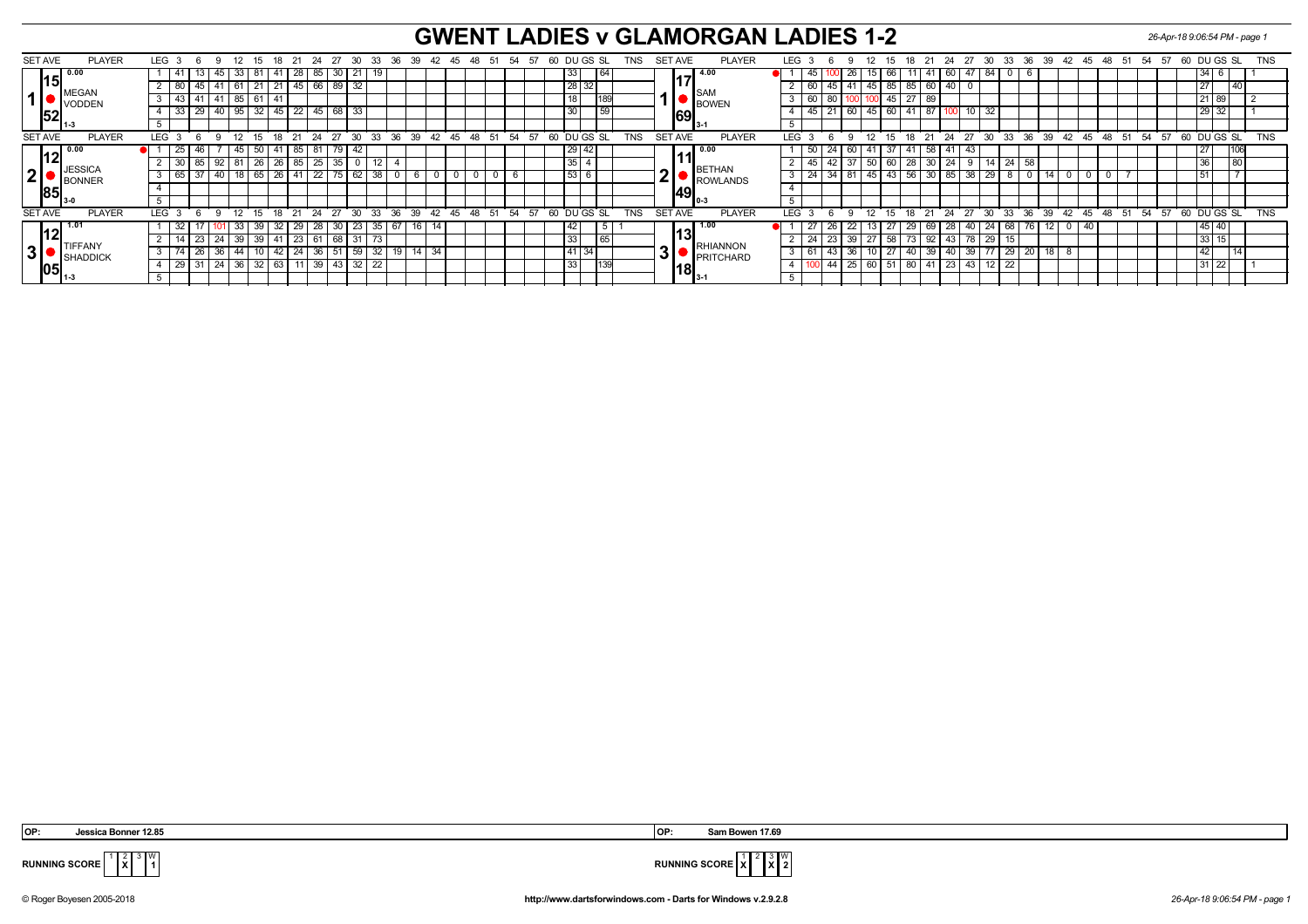## **GWENT LADIES v GLAMORGAN LADIES 1-2** *26-Apr-18 9:06:54 PM - page 1*

|     | <b>SET AVE</b>                              | <b>PLAYER</b>                                                  | LEG 3            |       | - 6 |                           | 12              | 15 |         |                 | -24          | -27           | -30             | - 33            | 36 39 |      | 42 45 | - 48             | - 51 | -54 | - 57  |    | 60 DU GS SL |       |          |  | TNS        | SET AVE        |       | <b>PLAYER</b>             | LEG.             |                 |              | -12             | - 15              | 18. | - 21  |              |                 | 24 27 30 |                 |              |                 | 33 36 39 42 45 48        |    |               | - 51 | 54 57    | 60 DU GS SL |                 |  | <b>TNS</b> |
|-----|---------------------------------------------|----------------------------------------------------------------|------------------|-------|-----|---------------------------|-----------------|----|---------|-----------------|--------------|---------------|-----------------|-----------------|-------|------|-------|------------------|------|-----|-------|----|-------------|-------|----------|--|------------|----------------|-------|---------------------------|------------------|-----------------|--------------|-----------------|-------------------|-----|-------|--------------|-----------------|----------|-----------------|--------------|-----------------|--------------------------|----|---------------|------|----------|-------------|-----------------|--|------------|
|     |                                             | 0.00                                                           |                  | -41   |     |                           | 33              |    |         | 28              | 85           |               | 30 21           |                 |       |      |       |                  |      |     |       |    | 33          |       | 64       |  |            |                | 14.00 |                           |                  | -45             |              | 26              | 66                |     |       | 60           | 47              | 84       |                 | -6           |                 |                          |    |               |      |          |             | l 34 l          |  |            |
|     | 15                                          | <b>IMEGAN</b><br>VODDEN<br>$\bm{52}_{1 \cdot 3}$               |                  | $-80$ |     |                           | 61              |    | -21     | 45              |              | 66 89 32      |                 |                 |       |      |       |                  |      |     |       |    |             | 28 32 |          |  |            |                |       | <b>SAM</b>                |                  |                 |              |                 | 85  <br>45 I      | 85  |       | 60 40        | 0               |          |                 |              |                 |                          |    |               |      |          |             | l 27            |  |            |
|     |                                             |                                                                |                  | 43    |     |                           | 85              | -6 |         |                 |              |               |                 |                 |       |      |       |                  |      |     |       |    | 18          |       | 189      |  |            |                |       | <b>BOWEN</b>              |                  |                 | 80           |                 | 45                | 27  | -89   |              |                 |          |                 |              |                 |                          |    |               |      |          |             | 21 89           |  |            |
|     |                                             |                                                                |                  | 33    |     |                           | 95              | 32 | 45      | $\overline{22}$ |              | 45 68         | $\overline{33}$ |                 |       |      |       |                  |      |     |       |    | 30          |       | 159      |  |            | 1691           |       |                           |                  | 45 <sup>1</sup> |              | 60              | 60<br>45 I        | 41  | . 87  |              | 10 <sup>1</sup> | -32      |                 |              |                 |                          |    |               |      |          |             | 129132          |  |            |
|     |                                             |                                                                |                  |       |     |                           |                 |    |         |                 |              |               |                 |                 |       |      |       |                  |      |     |       |    |             |       |          |  |            |                | I 3-1 |                           |                  |                 |              |                 |                   |     |       |              |                 |          |                 |              |                 |                          |    |               |      |          |             |                 |  |            |
|     | <b>SET AVE</b>                              | <b>PLAYER</b>                                                  | LEG <sup>1</sup> |       | -6  | $\alpha$                  | 12              | 15 | $18$ 21 |                 | 24           | $27 \quad 30$ |                 | $\cdot$ 33      | 36 39 |      |       | $42 \t 45 \t 48$ | 51   |     | 54 57 | 60 |             |       | DU GS SL |  | <b>TNS</b> | <b>SET AVE</b> |       | <b>PLAYER</b>             | LEG <sup>®</sup> |                 | $\mathbf{q}$ | 12 <sup>1</sup> | 15                |     | 18 21 | 24           | 27              | 30       |                 |              |                 | $33 \t36 \t39 \t42 \t45$ |    | $^{\circ}$ 48 | 51   | 54 57    |             | 60 DUGS SL      |  | <b>TNS</b> |
|     |                                             | 0.00                                                           |                  | 25    |     |                           | 45              | 50 |         | 85              |              | - 79          | -42             |                 |       |      |       |                  |      |     |       |    |             | 29 42 |          |  |            |                |       | $\overline{1}$ 0.00       |                  | -50             | 24           | 60<br>41        | - 37              | 41  | 58    |              | 43              |          |                 |              |                 |                          |    |               |      |          |             | $\overline{27}$ |  |            |
|     | 12                                          | LIESSICA<br>BONNER<br>$\overline{\textsf{185}}_{\textsf{3-0}}$ |                  | 30    |     | 92                        | 81              | 26 |         | 85              | 25           |               | 0               | 12              |       |      |       |                  |      |     |       |    | 35          |       |          |  |            |                |       |                           |                  | 45              | 42           | 37              | 60<br>50 I        | 28  |       | $30 \mid 24$ | 9               | 14       | 24              | $\sqrt{58}$  |                 |                          |    |               |      |          |             |                 |  |            |
| 2   |                                             |                                                                |                  | 65    |     |                           | $18$ 65         |    |         | $26$   41       | $22 \mid 75$ |               | 62              | 38              |       |      |       |                  |      | O   |       |    | 53          |       |          |  |            | 2 <sub>l</sub> |       | <b>BETHAN</b><br>ROWLANDS |                  | 24              |              | 81              | $45 \mid 43 \mid$ | 56  |       | 30   85      | 38              | 29       |                 | 0            |                 |                          |    |               |      |          |             |                 |  |            |
|     |                                             |                                                                |                  |       |     |                           |                 |    |         |                 |              |               |                 |                 |       |      |       |                  |      |     |       |    |             |       |          |  |            | <b>149</b>     |       | l 0-3                     |                  |                 |              |                 |                   |     |       |              |                 |          |                 |              |                 |                          |    |               |      |          |             |                 |  |            |
|     |                                             |                                                                |                  |       |     |                           |                 |    |         |                 |              |               |                 |                 |       |      |       |                  |      |     |       |    |             |       |          |  |            |                |       |                           |                  |                 |              |                 |                   |     |       |              |                 |          |                 |              |                 |                          |    |               |      |          |             |                 |  |            |
|     | <b>SET AVE</b>                              | <b>PLAYER</b>                                                  | LEG              |       |     | $\Omega$                  | 12 <sup>°</sup> |    | 18      | - 21            | 24           | 27            | 30              | 33 <sup>3</sup> | 36 39 | 42   | 45    | $-48$            | 51   |     | 54 57 |    | 60 DU GS SL |       |          |  | <b>TNS</b> | <b>SET AVE</b> |       | <b>PLAYER</b>             | LEG              |                 | <b>Q</b>     | 12              | 15                | 18  | 21    |              | 24 27           | 30       | 33 <sup>1</sup> | 36           | 39 <sup>°</sup> | 42 45                    |    | 48            |      | 51 54 57 | 60 DU GS SL |                 |  | <b>TNS</b> |
|     | 12                                          | 1.0                                                            |                  |       |     |                           | 33              |    |         | 29              |              |               | 23              | 35              |       | 14   |       |                  |      |     |       |    | 42          |       |          |  |            |                |       | 1 1.00                    |                  | -27             | 22           |                 |                   |     | 69    |              | 40              | 24       | 68              |              |                 |                          | 40 |               |      |          |             | $145$ 40        |  |            |
|     |                                             | <b>TIFFANY</b><br><b>SHADDICK</b>                              |                  | 14    |     |                           | 39              | 39 |         | 23              |              |               | 31              |                 |       |      |       |                  |      |     |       |    | 33          |       | 65       |  |            | 113            |       | <b>RHIANNON</b>           |                  | 24              |              | 39<br>27        |                   |     |       |              | 78              | 29       |                 |              |                 |                          |    |               |      |          |             | 33              |  |            |
| l 3 |                                             |                                                                |                  | 74    |     |                           | 44              |    |         | 24              | $36 \quad 5$ |               | 59              | 32              | 14    | l 34 |       |                  |      |     |       |    |             | 41 34 |          |  |            | 3 <sup>1</sup> |       | PRITCHARD                 |                  | 61              | -43          | 36              |                   | 40  | 39    |              | 39              |          |                 | $29 \mid 20$ |                 |                          |    |               |      |          |             | $\sqrt{42}$     |  |            |
|     |                                             |                                                                |                  | 29    |     | $31 \mid 24 \mid 36 \mid$ |                 |    | 32   63 | 111             |              | $39$ 43 32    |                 | 22              |       |      |       |                  |      |     |       |    | 33          |       | 139      |  |            |                | 1181  |                           |                  |                 | 44           | 25              | 60 51             | 80  |       | $41 \mid 23$ |                 | 43 12 22 |                 |              |                 |                          |    |               |      |          |             | 31 22           |  |            |
|     | $\overline{\phantom{0}105}$ $_{1\text{-}3}$ |                                                                |                  |       |     |                           |                 |    |         |                 |              |               |                 |                 |       |      |       |                  |      |     |       |    |             |       |          |  |            |                | $13-$ |                           |                  |                 |              |                 |                   |     |       |              |                 |          |                 |              |                 |                          |    |               |      |          |             |                 |  |            |

 **OP: Jessica Bonner 12.85 OP: Sam Bowen 17.69**

**X** lä



**RUNNING SCORE** 

© Roger Boyesen 2005-2018 **http://www.dartsforwindows.com - Darts for Windows v.2.9.2.8** *26-Apr-18 9:06:54 PM - page 1*